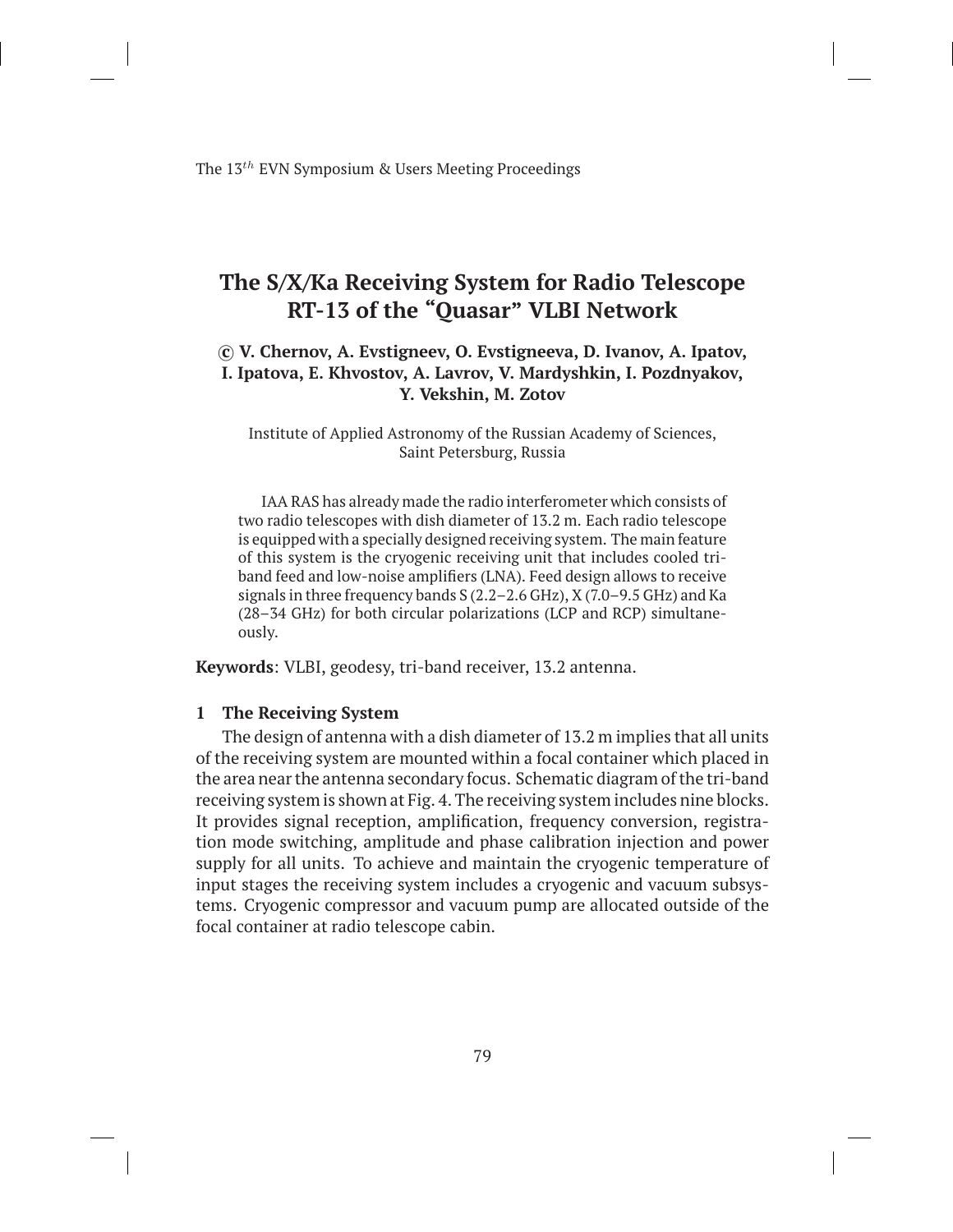The 13*th* EVN Symposium & Users Meeting Proceedings

# **The S/X/Ka Receiving System for Radio Telescope RT-13 of the "Quasar" VLBI Network**

## *⃝***c V. Chernov, A. Evstigneev, O. Evstigneeva, D. Ivanov, A. Ipatov, I. Ipatova, E. Khvostov, A. Lavrov, V. Mardyshkin, I. Pozdnyakov, Y. Vekshin, M. Zotov**

Institute of Applied Astronomy of the Russian Academy of Sciences, Saint Petersburg, Russia

IAA RAS has already made the radio interferometer which consists of two radio telescopes with dish diameter of 13.2 m. Each radio telescope is equipped with a specially designed receiving system. The main feature of this system is the cryogenic receiving unit that includes cooled triband feed and low-noise amplifiers (LNA). Feed design allows to receive signals in three frequency bands S (2.2–2.6 GHz), X (7.0–9.5 GHz) and Ka (28–34 GHz) for both circular polarizations (LCP and RCP) simultaneously.

**Keywords**: VLBI, geodesy, tri-band receiver, 13.2 antenna.

#### **1 The Receiving System**

The design of antenna with a dish diameter of 13.2 m implies that all units of the receiving system are mounted within a focal container which placed in the area near the antenna secondary focus. Schematic diagram of the tri-band receiving system is shown at Fig. 4. The receiving system includes nine blocks. It provides signal reception, amplification, frequency conversion, registration mode switching, amplitude and phase calibration injection and power supply for all units. To achieve and maintain the cryogenic temperature of input stages the receiving system includes a cryogenic and vacuum subsystems. Cryogenic compressor and vacuum pump are allocated outside of the focal container at radio telescope cabin.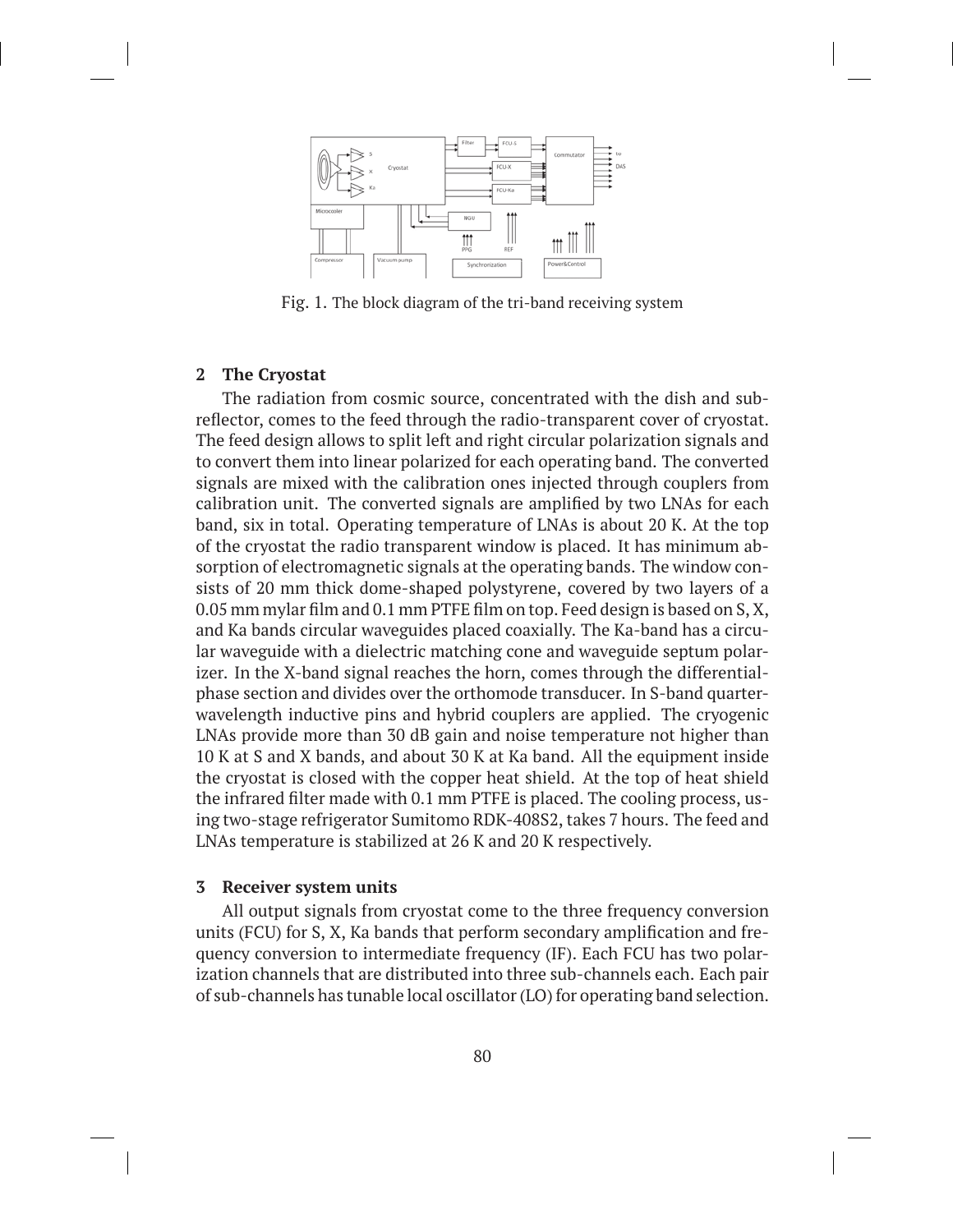

Fig. 1. The block diagram of the tri-band receiving system

#### **2 The Cryostat**

The radiation from cosmic source, concentrated with the dish and subreflector, comes to the feed through the radio-transparent cover of cryostat. The feed design allows to split left and right circular polarization signals and to convert them into linear polarized for each operating band. The converted signals are mixed with the calibration ones injected through couplers from calibration unit. The converted signals are amplified by two LNAs for each band, six in total. Operating temperature of LNAs is about 20 K. At the top of the cryostat the radio transparent window is placed. It has minimum absorption of electromagnetic signals at the operating bands. The window consists of 20 mm thick dome-shaped polystyrene, covered by two layers of a 0.05 mm mylar film and 0.1 mm PTFE film on top. Feed design is based on S, X, and Ka bands circular waveguides placed coaxially. The Ka-band has a circular waveguide with a dielectric matching cone and waveguide septum polarizer. In the X-band signal reaches the horn, comes through the differentialphase section and divides over the orthomode transducer. In S-band quarterwavelength inductive pins and hybrid couplers are applied. The cryogenic LNAs provide more than 30 dB gain and noise temperature not higher than 10 K at S and X bands, and about 30 K at Ka band. All the equipment inside the cryostat is closed with the copper heat shield. At the top of heat shield the infrared filter made with 0.1 mm PTFE is placed. The cooling process, using two-stage refrigerator Sumitomo RDK-408S2, takes 7 hours. The feed and LNAs temperature is stabilized at 26 K and 20 K respectively.

#### **3 Receiver system units**

All output signals from cryostat come to the three frequency conversion units (FCU) for S, X, Ka bands that perform secondary amplification and frequency conversion to intermediate frequency (IF). Each FCU has two polarization channels that are distributed into three sub-channels each. Each pair of sub-channels has tunable local oscillator (LO) for operating band selection.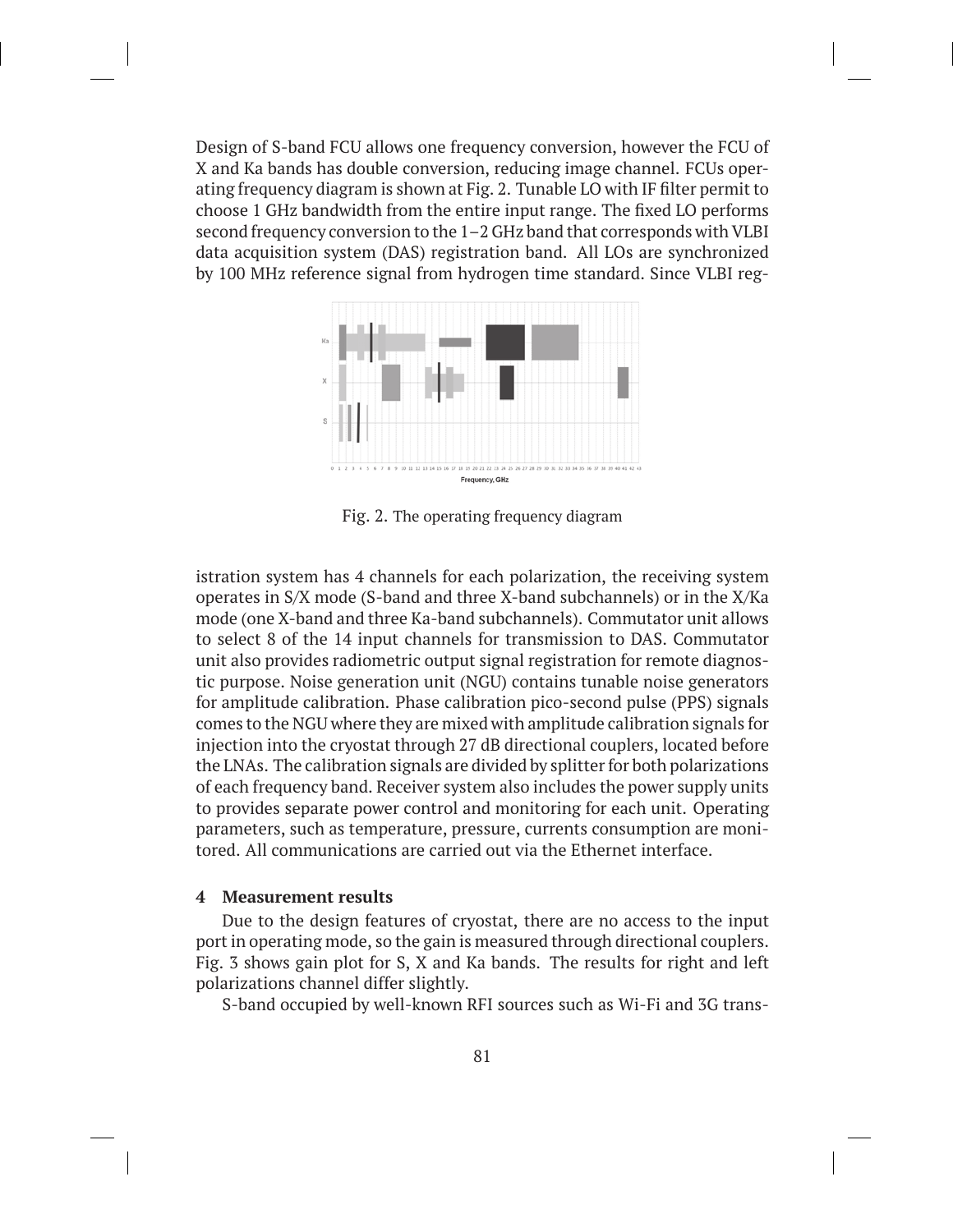Design of S-band FCU allows one frequency conversion, however the FCU of X and Ka bands has double conversion, reducing image channel. FCUs operating frequency diagram is shown at Fig. 2. Tunable LO with IF filter permit to choose 1 GHz bandwidth from the entire input range. The fixed LO performs second frequency conversion to the 1–2 GHz band that corresponds with VLBI data acquisition system (DAS) registration band. All LOs are synchronized by 100 MHz reference signal from hydrogen time standard. Since VLBI reg-



Fig. 2. The operating frequency diagram

istration system has 4 channels for each polarization, the receiving system operates in S/X mode (S-band and three X-band subchannels) or in the X/Ka mode (one X-band and three Ka-band subchannels). Commutator unit allows to select 8 of the 14 input channels for transmission to DAS. Commutator unit also provides radiometric output signal registration for remote diagnostic purpose. Noise generation unit (NGU) contains tunable noise generators for amplitude calibration. Phase calibration pico-second pulse (PPS) signals comes to the NGU where they are mixed with amplitude calibration signals for injection into the cryostat through 27 dB directional couplers, located before the LNAs. The calibration signals are divided by splitter for both polarizations of each frequency band. Receiver system also includes the power supply units to provides separate power control and monitoring for each unit. Operating parameters, such as temperature, pressure, currents consumption are monitored. All communications are carried out via the Ethernet interface.

#### **4 Measurement results**

Due to the design features of cryostat, there are no access to the input port in operating mode, so the gain is measured through directional couplers. Fig. 3 shows gain plot for S, X and Ka bands. The results for right and left polarizations channel differ slightly.

S-band occupied by well-known RFI sources such as Wi-Fi and 3G trans-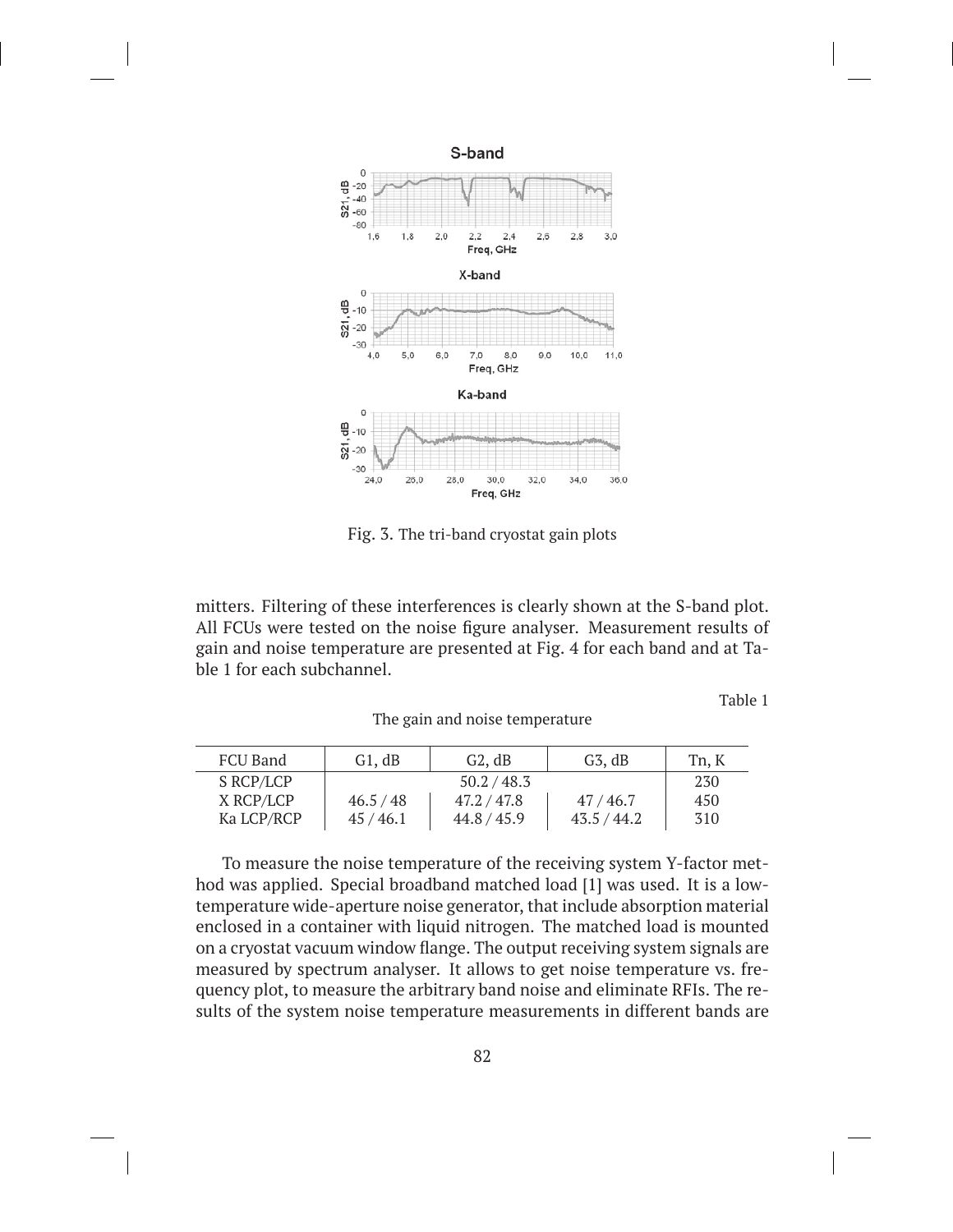

Fig. 3. The tri-band cryostat gain plots

mitters. Filtering of these interferences is clearly shown at the S-band plot. All FCUs were tested on the noise figure analyser. Measurement results of gain and noise temperature are presented at Fig. 4 for each band and at Table 1 for each subchannel.

The gain and noise temperature

Table 1

| FCU Band   | G1, dB      | G2, dB      | $G_3$ , dB  | Tn, K |
|------------|-------------|-------------|-------------|-------|
| S RCP/LCP  | 50.2 / 48.3 |             |             | 230   |
| X RCP/LCP  | 46.5 / 48   | 47.2 / 47.8 | 47/46.7     | 450   |
| Ka LCP/RCP | 45/46.1     | 44.8 / 45.9 | 43.5 / 44.2 | 310   |

To measure the noise temperature of the receiving system Y-factor method was applied. Special broadband matched load [1] was used. It is a lowtemperature wide-aperture noise generator, that include absorption material enclosed in a container with liquid nitrogen. The matched load is mounted on a cryostat vacuum window flange. The output receiving system signals are measured by spectrum analyser. It allows to get noise temperature vs. frequency plot, to measure the arbitrary band noise and eliminate RFIs. The results of the system noise temperature measurements in different bands are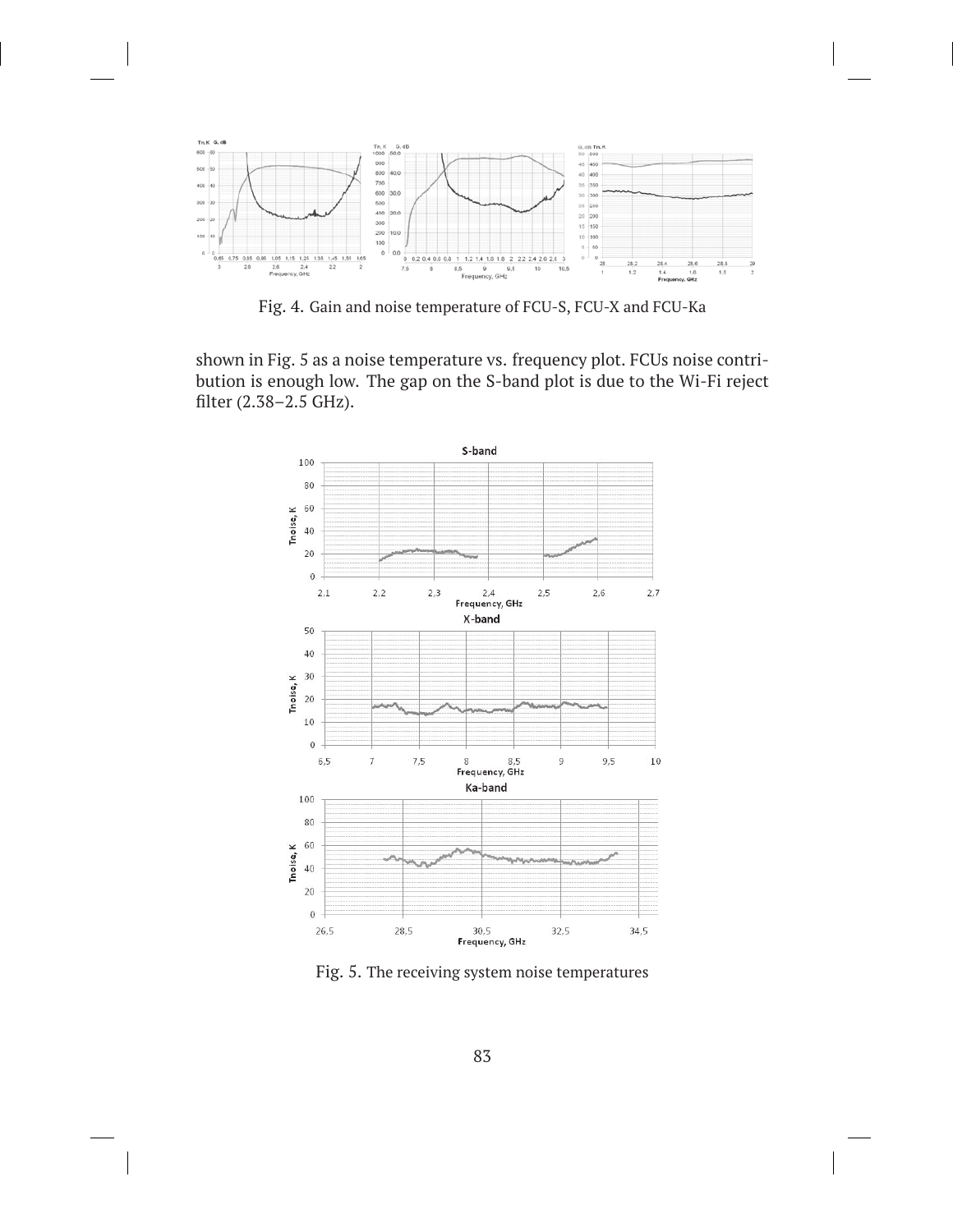

Fig. 4. Gain and noise temperature of FCU-S, FCU-X and FCU-Ka

shown in Fig. 5 as a noise temperature vs. frequency plot. FCUs noise contribution is enough low. The gap on the S-band plot is due to the Wi-Fi reject filter (2.38–2.5 GHz).



Fig. 5. The receiving system noise temperatures